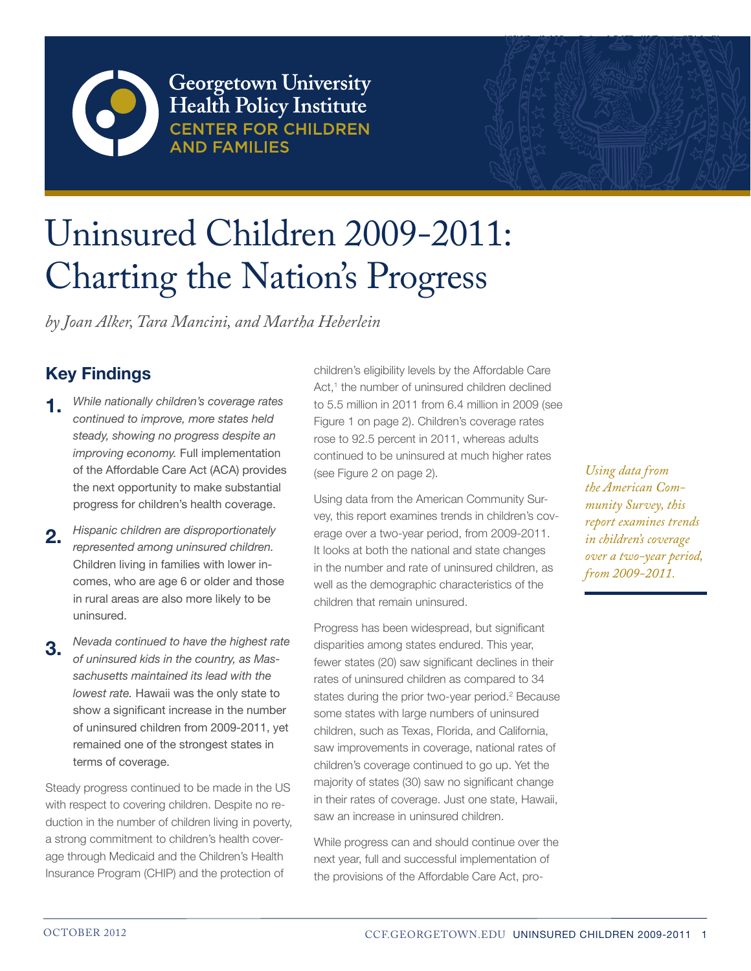

Georgetown University Health Policy Institute **ND FAMILIFS** 



# Uninsured Children 2009-2011: Charting the Nation's Progress

*by Joan Alker, Tara Mancini, and Martha Heberlein*

# **Key Findings**

- *While nationally children's coverage rates continued to improve, more states held steady, showing no progress despite an improving economy.* Full implementation of the Affordable Care Act (ACA) provides the next opportunity to make substantial progress for children's health coverage. **1.**
- *Hispanic children are disproportionately represented among uninsured children.*  Children living in families with lower incomes, who are age 6 or older and those in rural areas are also more likely to be uninsured. **2.**
- *Nevada continued to have the highest rate of uninsured kids in the country, as Massachusetts maintained its lead with the lowest rate.* Hawaii was the only state to show a significant increase in the number of uninsured children from 2009-2011, yet remained one of the strongest states in terms of coverage. **3.**

Steady progress continued to be made in the US with respect to covering children. Despite no reduction in the number of children living in poverty, a strong commitment to children's health coverage through Medicaid and the Children's Health Insurance Program (CHIP) and the protection of

children's eligibility levels by the Affordable Care Act,<sup>1</sup> the number of uninsured children declined to 5.5 million in 2011 from 6.4 million in 2009 (see Figure 1 on page 2). Children's coverage rates rose to 92.5 percent in 2011, whereas adults continued to be uninsured at much higher rates (see Figure 2 on page 2).

Using data from the American Community Survey, this report examines trends in children's coverage over a two-year period, from 2009-2011. It looks at both the national and state changes in the number and rate of uninsured children, as well as the demographic characteristics of the children that remain uninsured.

Progress has been widespread, but significant disparities among states endured. This year, fewer states (20) saw significant declines in their rates of uninsured children as compared to 34 states during the prior two-year period.<sup>2</sup> Because some states with large numbers of uninsured children, such as Texas, Florida, and California, saw improvements in coverage, national rates of children's coverage continued to go up. Yet the majority of states (30) saw no significant change in their rates of coverage. Just one state, Hawaii, saw an increase in uninsured children.

While progress can and should continue over the next year, full and successful implementation of the provisions of the Affordable Care Act, pro-

*Using data from the American Community Survey, this report examines trends in children's coverage over a two-year period, from 2009-2011.*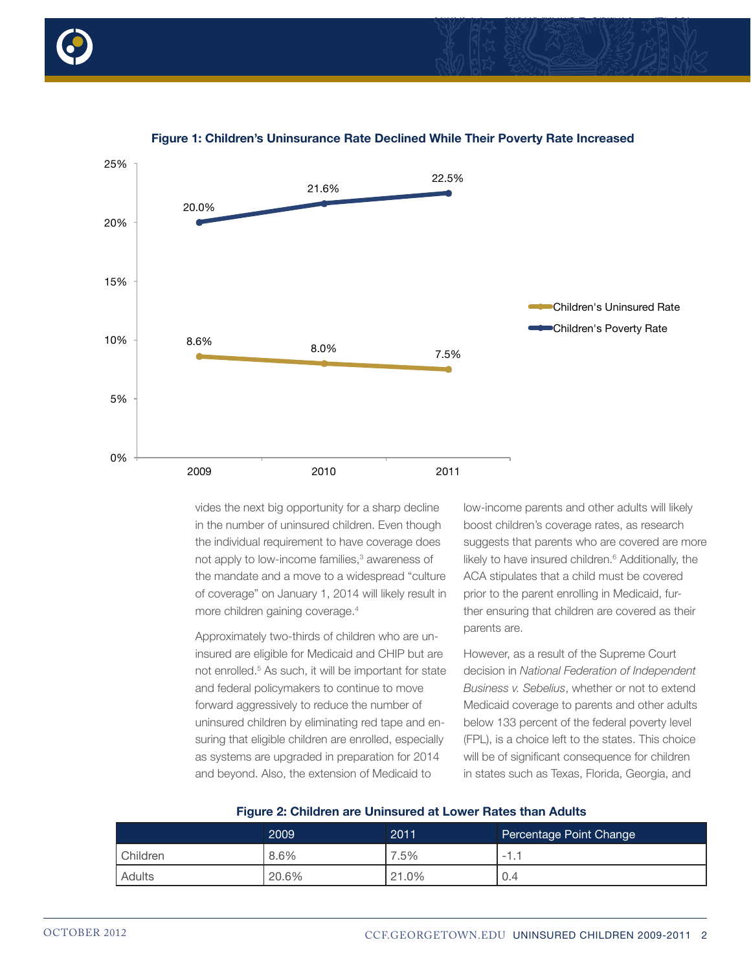



#### **Figure 1: Children's Uninsurance Rate Declined While Their Poverty Rate Increased**

vides the next big opportunity for a sharp decline in the number of uninsured children. Even though the individual requirement to have coverage does not apply to low-income families,<sup>3</sup> awareness of the mandate and a move to a widespread "culture of coverage" on January 1, 2014 will likely result in more children gaining coverage.4

Approximately two-thirds of children who are uninsured are eligible for Medicaid and CHIP but are not enrolled.<sup>5</sup> As such, it will be important for state and federal policymakers to continue to move forward aggressively to reduce the number of uninsured children by eliminating red tape and ensuring that eligible children are enrolled, especially as systems are upgraded in preparation for 2014 and beyond. Also, the extension of Medicaid to

low-income parents and other adults will likely boost children's coverage rates, as research suggests that parents who are covered are more likely to have insured children.<sup>6</sup> Additionally, the ACA stipulates that a child must be covered prior to the parent enrolling in Medicaid, further ensuring that children are covered as their parents are.

However, as a result of the Supreme Court decision in *National Federation of Independent Business v. Sebelius*, whether or not to extend Medicaid coverage to parents and other adults below 133 percent of the federal poverty level (FPL), is a choice left to the states. This choice will be of significant consequence for children in states such as Texas, Florida, Georgia, and

|          | 2009  | 2011  | Percentage Point Change         |
|----------|-------|-------|---------------------------------|
| Children | 8.6%  | .5%   | $\overline{\phantom{0}}$<br>. . |
| Adults   | 20.6% | 21.0% | 0.4                             |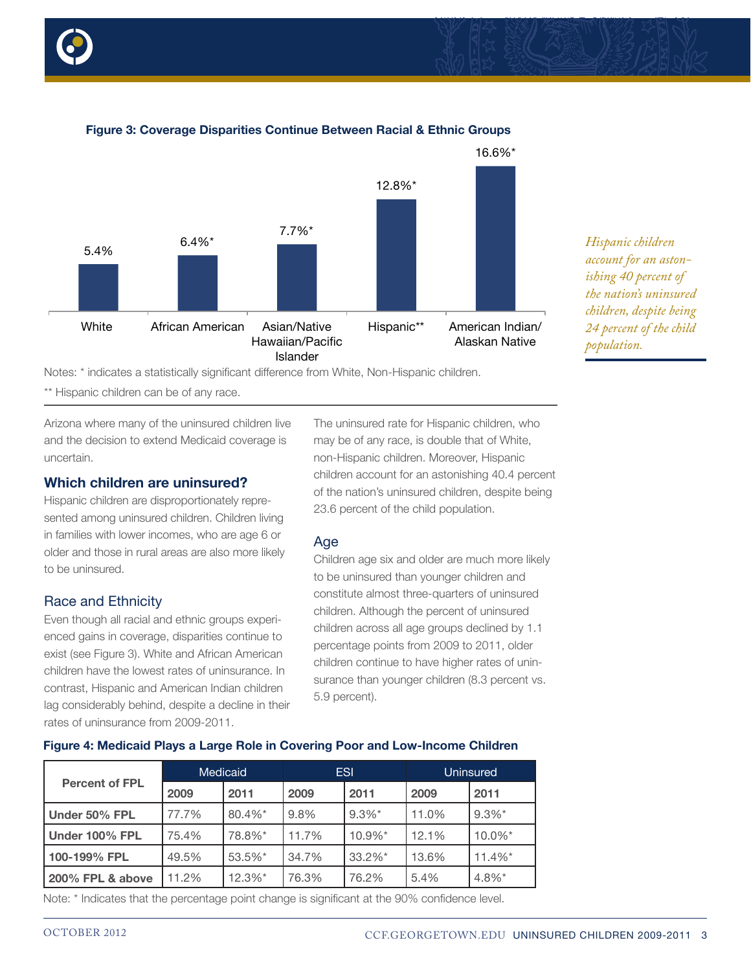



## **Figure 3: Coverage Disparities Continue Between Racial & Ethnic Groups**

Notes: \* indicates a statistically significant difference from White, Non-Hispanic children.

\*\* Hispanic children can be of any race.

Arizona where many of the uninsured children live and the decision to extend Medicaid coverage is uncertain.

#### **Which children are uninsured?**

Hispanic children are disproportionately represented among uninsured children. Children living in families with lower incomes, who are age 6 or older and those in rural areas are also more likely to be uninsured.

#### Race and Ethnicity

Even though all racial and ethnic groups experienced gains in coverage, disparities continue to exist (see Figure 3). White and African American children have the lowest rates of uninsurance. In contrast, Hispanic and American Indian children lag considerably behind, despite a decline in their rates of uninsurance from 2009-2011.

The uninsured rate for Hispanic children, who may be of any race, is double that of White, non-Hispanic children. Moreover, Hispanic children account for an astonishing 40.4 percent of the nation's uninsured children, despite being 23.6 percent of the child population.

.<br>8.3 7.7% -0.7% -0.7% -0.7% -0.7% -0.7% -0.7% -0.7% -0.7% -0.7% -0.7% -0.7% -0.7% -0.7% -0.7% -0.7% -0.7% -0.7%

#### Age

Children age six and older are much more likely to be uninsured than younger children and constitute almost three-quarters of uninsured children. Although the percent of uninsured children across all age groups declined by 1.1 percentage points from 2009 to 2011, older children continue to have higher rates of uninsurance than younger children (8.3 percent vs. 5.9 percent).

|                       |       | Medicaid   | <b>ESI</b> |            | <b>Uninsured</b> |                      |
|-----------------------|-------|------------|------------|------------|------------------|----------------------|
| <b>Percent of FPL</b> | 2009  | 2011       | 2009       | 2011       | 2009             | 2011                 |
| Under 50% FPL         | 77.7% | $80.4\%$ * | 9.8%       | $9.3\%$ *  | 11.0%            | $9.3\%$ *            |
| Under 100% FPL        | 75.4% | 78.8%*     | 11.7%      | $10.9\%$ * | 12.1%            | $10.0\%$ *           |
| 100-199% FPL          | 49.5% | 53.5%*     | 34.7%      | $33.2\%$ * | 13.6%            | $11.4\%$ *           |
| 200% FPL & above      | 11.2% | $12.3\%$ * | 76.3%      | 76.2%      | 5.4%             | $4.8\%$ <sup>*</sup> |

**Figure 4: Medicaid Plays a Large Role in Covering Poor and Low-Income Children**

Note: \* Indicates that the percentage point change is significant at the 90% confidence level.

*Hispanic children account for an astonishing 40 percent of the nation's uninsured children, despite being 24 percent of the child population.*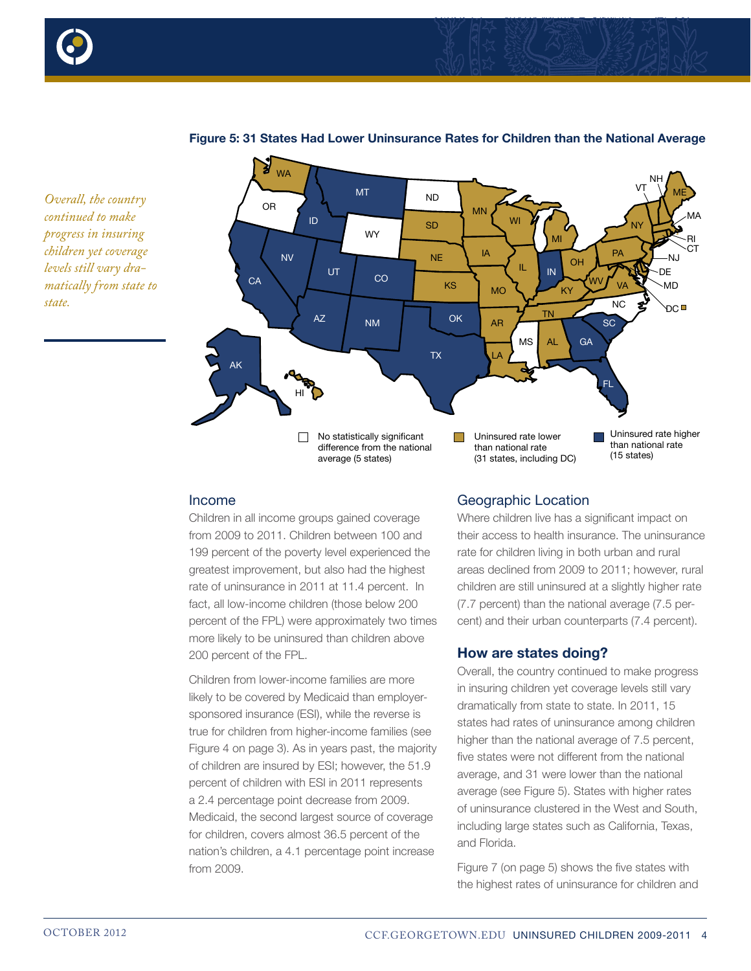



#### **Figure 5: 31 States Had Lower Uninsurance Rates for Children than the National Average**



#### Income

Children in all income groups gained coverage from 2009 to 2011. Children between 100 and 199 percent of the poverty level experienced the greatest improvement, but also had the highest rate of uninsurance in 2011 at 11.4 percent. In fact, all low-income children (those below 200 percent of the FPL) were approximately two times more likely to be uninsured than children above 200 percent of the FPL.

Children from lower-income families are more likely to be covered by Medicaid than employersponsored insurance (ESI), while the reverse is true for children from higher-income families (see Figure 4 on page 3). As in years past, the majority of children are insured by ESI; however, the 51.9 percent of children with ESI in 2011 represents a 2.4 percentage point decrease from 2009. Medicaid, the second largest source of coverage for children, covers almost 36.5 percent of the nation's children, a 4.1 percentage point increase from 2009.

## Geographic Location

Where children live has a significant impact on their access to health insurance. The uninsurance rate for children living in both urban and rural areas declined from 2009 to 2011; however, rural children are still uninsured at a slightly higher rate (7.7 percent) than the national average (7.5 percent) and their urban counterparts (7.4 percent).

#### **How are states doing?**

Overall, the country continued to make progress in insuring children yet coverage levels still vary dramatically from state to state. In 2011, 15 states had rates of uninsurance among children higher than the national average of 7.5 percent, five states were not different from the national average, and 31 were lower than the national average (see Figure 5). States with higher rates of uninsurance clustered in the West and South, including large states such as California, Texas, and Florida.

Figure 7 (on page 5) shows the five states with the highest rates of uninsurance for children and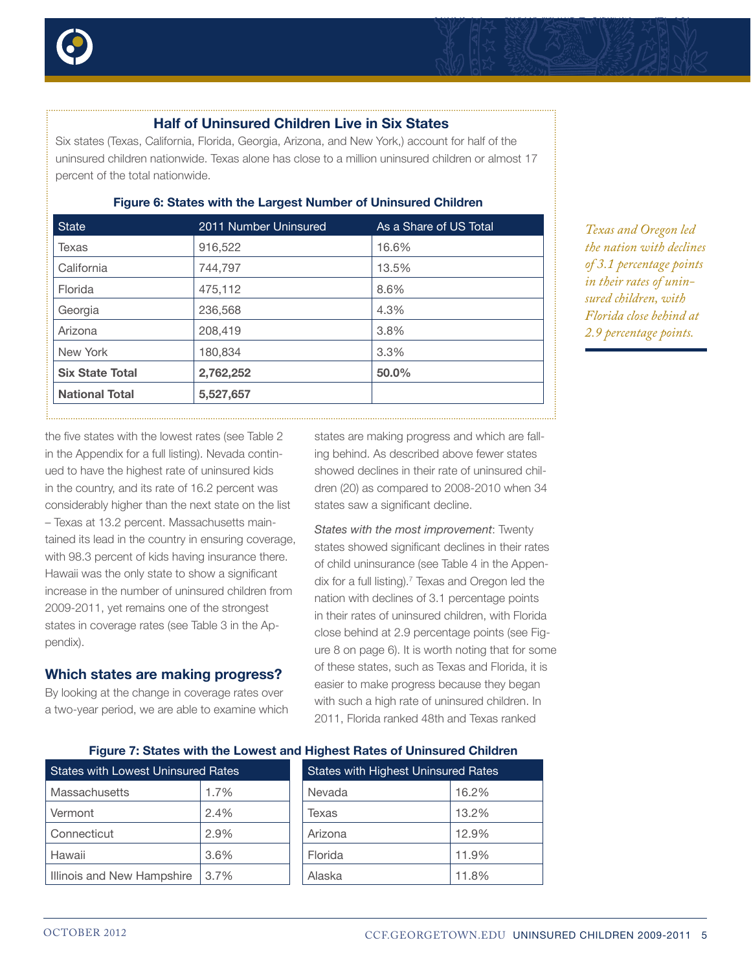

# **Half of Uninsured Children Live in Six States**

Six states (Texas, California, Florida, Georgia, Arizona, and New York,) account for half of the uninsured children nationwide. Texas alone has close to a million uninsured children or almost 17 percent of the total nationwide.

| 2011 Number Uninsured | As a Share of US Total |
|-----------------------|------------------------|
| 916,522               | 16.6%                  |
| 744,797               | 13.5%                  |
| 475,112               | 8.6%                   |
| 236,568               | 4.3%                   |
| 208,419               | 3.8%                   |
| 180,834               | 3.3%                   |
| 2,762,252             | 50.0%                  |
| 5,527,657             |                        |
|                       |                        |

## **Figure 6: States with the Largest Number of Uninsured Children**

*Texas and Oregon led the nation with declines of 3.1 percentage points in their rates of uninsured children, with Florida close behind at 2.9 percentage points.*

the five states with the lowest rates (see Table 2 in the Appendix for a full listing). Nevada continued to have the highest rate of uninsured kids in the country, and its rate of 16.2 percent was considerably higher than the next state on the list – Texas at 13.2 percent. Massachusetts maintained its lead in the country in ensuring coverage, with 98.3 percent of kids having insurance there. Hawaii was the only state to show a significant increase in the number of uninsured children from 2009-2011, yet remains one of the strongest states in coverage rates (see Table 3 in the Appendix).

# **Which states are making progress?**

By looking at the change in coverage rates over a two-year period, we are able to examine which

states are making progress and which are falling behind. As described above fewer states showed declines in their rate of uninsured children (20) as compared to 2008-2010 when 34 states saw a significant decline.

*States with the most improvement*: Twenty states showed significant declines in their rates of child uninsurance (see Table 4 in the Appendix for a full listing).<sup>7</sup> Texas and Oregon led the nation with declines of 3.1 percentage points in their rates of uninsured children, with Florida close behind at 2.9 percentage points (see Figure 8 on page 6). It is worth noting that for some of these states, such as Texas and Florida, it is easier to make progress because they began with such a high rate of uninsured children. In 2011, Florida ranked 48th and Texas ranked

with Highest Uninsured Rates

| <b>States with Lowest Uninsured Rates</b> |      |  | <b>States with Highest Uninsured Rate</b> |       |  |
|-------------------------------------------|------|--|-------------------------------------------|-------|--|
| <b>Massachusetts</b>                      | 1.7% |  | Nevada                                    | 16.2% |  |
| Vermont                                   | 2.4% |  | Texas                                     | 13.2% |  |
| Connecticut                               | 2.9% |  | Arizona                                   | 12.9% |  |
| Hawaii                                    | 3.6% |  | Florida                                   | 11.9% |  |
| Illinois and New Hampshire                | 3.7% |  | Alaska                                    | 11.8% |  |

**Figure 7: States with the Lowest and Highest Rates of Uninsured Children**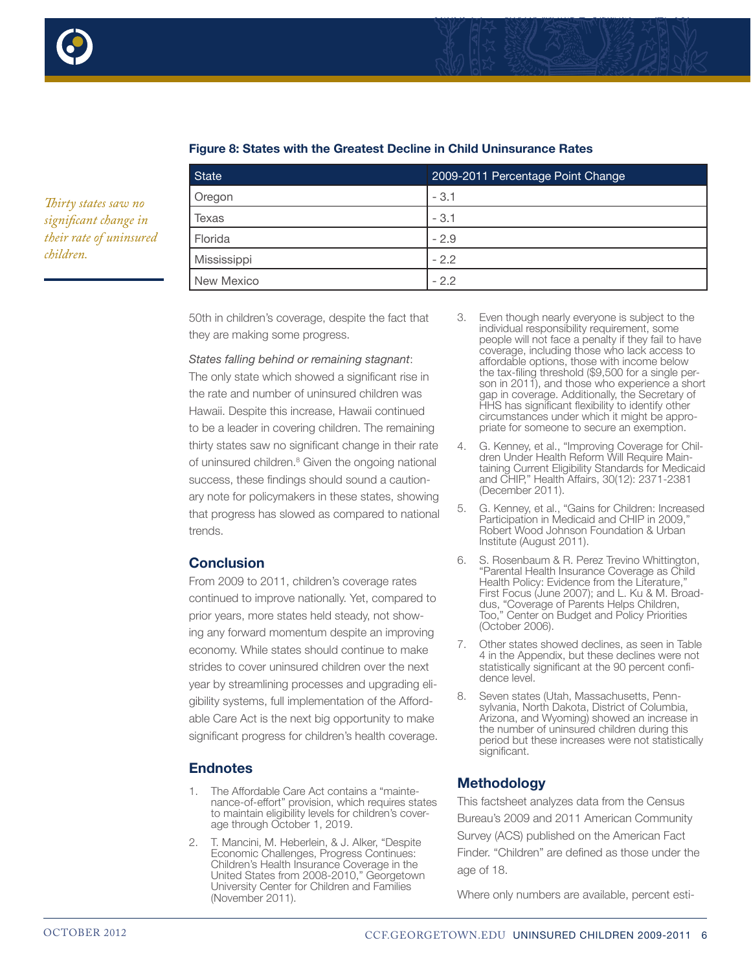

*Thirty states saw no significant change in their rate of uninsured* 

*children.*



| <b>State</b> | 2009-2011 Percentage Point Change |
|--------------|-----------------------------------|
| Oregon       | $-3.1$                            |
| Texas        | $-3.1$                            |
| Florida      | $-2.9$                            |
| Mississippi  | $-2.2$                            |
| New Mexico   | $-2.2$                            |

## **Figure 8: States with the Greatest Decline in Child Uninsurance Rates**

50th in children's coverage, despite the fact that they are making some progress.

#### *States falling behind or remaining stagnant*:

The only state which showed a significant rise in the rate and number of uninsured children was Hawaii. Despite this increase, Hawaii continued to be a leader in covering children. The remaining thirty states saw no significant change in their rate of uninsured children.<sup>8</sup> Given the ongoing national success, these findings should sound a cautionary note for policymakers in these states, showing that progress has slowed as compared to national trends.

## **Conclusion**

From 2009 to 2011, children's coverage rates continued to improve nationally. Yet, compared to prior years, more states held steady, not showing any forward momentum despite an improving economy. While states should continue to make strides to cover uninsured children over the next year by streamlining processes and upgrading eligibility systems, full implementation of the Affordable Care Act is the next big opportunity to make significant progress for children's health coverage.

# **Endnotes**

- 1. The Affordable Care Act contains a "maintenance-of-effort" provision, which requires states to maintain eligibility levels for children's coverage through October 1, 2019.
- 2. T. Mancini, M. Heberlein, & J. Alker, "Despite Economic Challenges, Progress Continues: Children's Health Insurance Coverage in the United States from 2008-2010," Georgetown University Center for Children and Families (November 2011).
- 3. Even though nearly everyone is subject to the individual responsibility requirement, some people will not face a penalty if they fail to have coverage, including those who lack access to affordable options, those with income below the tax-filing threshold (\$9,500 for a single person in 2011), and those who experience a short gap in coverage. Additionally, the Secretary of HHS has significant flexibility to identify other circumstances under which it might be appropriate for someone to secure an exemption.
- 4. G. Kenney, et al., "Improving Coverage for Children Under Health Reform Will Require Maintaining Current Eligibility Standards for Medicaid and CHIP," Health Affairs, 30(12): 2371-2381 (December 2011).
- 5. G. Kenney, et al., "Gains for Children: Increased Participation in Medicaid and CHIP in 2009." Robert Wood Johnson Foundation & Urban Institute (August 2011).
- 6. S. Rosenbaum & R. Perez Trevino Whittington, "Parental Health Insurance Coverage as Child Health Policy: Evidence from the Literature, First Focus (June 2007); and L. Ku & M. Broaddus, "Coverage of Parents Helps Children, Too," Center on Budget and Policy Priorities (October 2006).
- 7. Other states showed declines, as seen in Table 4 in the Appendix, but these declines were not statistically significant at the 90 percent confi- dence level.
- 8. Seven states (Utah, Massachusetts, Pennsylvania, North Dakota, District of Columbia, Arizona, and Wyoming) showed an increase in the number of uninsured children during this period but these increases were not statistically significant.

# **Methodology**

This factsheet analyzes data from the Census Bureau's 2009 and 2011 American Community Survey (ACS) published on the American Fact Finder. "Children" are defined as those under the age of 18.

Where only numbers are available, percent esti-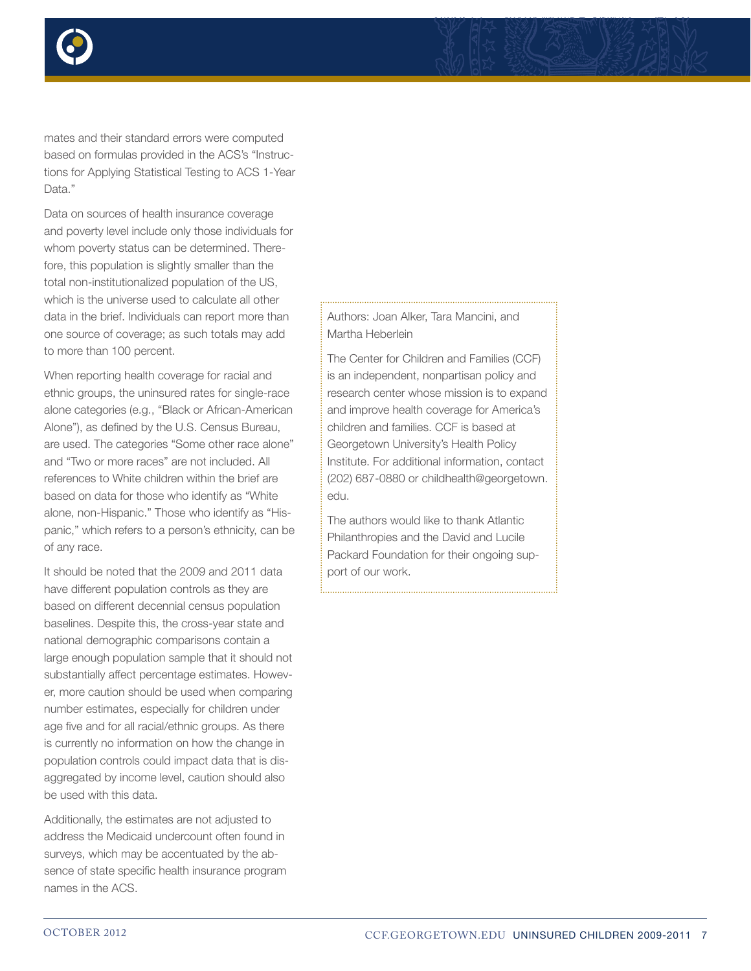

mates and their standard errors were computed based on formulas provided in the ACS's "Instructions for Applying Statistical Testing to ACS 1-Year Data."

Data on sources of health insurance coverage and poverty level include only those individuals for whom poverty status can be determined. Therefore, this population is slightly smaller than the total non-institutionalized population of the US, which is the universe used to calculate all other data in the brief. Individuals can report more than one source of coverage; as such totals may add to more than 100 percent.

When reporting health coverage for racial and ethnic groups, the uninsured rates for single-race alone categories (e.g., "Black or African-American Alone"), as defined by the U.S. Census Bureau, are used. The categories "Some other race alone" and "Two or more races" are not included. All references to White children within the brief are based on data for those who identify as "White alone, non-Hispanic." Those who identify as "Hispanic," which refers to a person's ethnicity, can be of any race.

It should be noted that the 2009 and 2011 data have different population controls as they are based on different decennial census population baselines. Despite this, the cross-year state and national demographic comparisons contain a large enough population sample that it should not substantially affect percentage estimates. However, more caution should be used when comparing number estimates, especially for children under age five and for all racial/ethnic groups. As there is currently no information on how the change in population controls could impact data that is disaggregated by income level, caution should also be used with this data.

Additionally, the estimates are not adjusted to address the Medicaid undercount often found in surveys, which may be accentuated by the absence of state specific health insurance program names in the ACS.

Authors: Joan Alker, Tara Mancini, and Martha Heberlein

The Center for Children and Families (CCF) is an independent, nonpartisan policy and research center whose mission is to expand and improve health coverage for America's children and families. CCF is based at Georgetown University's Health Policy Institute. For additional information, contact (202) 687-0880 or childhealth@georgetown. edu.

The authors would like to thank Atlantic Philanthropies and the David and Lucile Packard Foundation for their ongoing support of our work.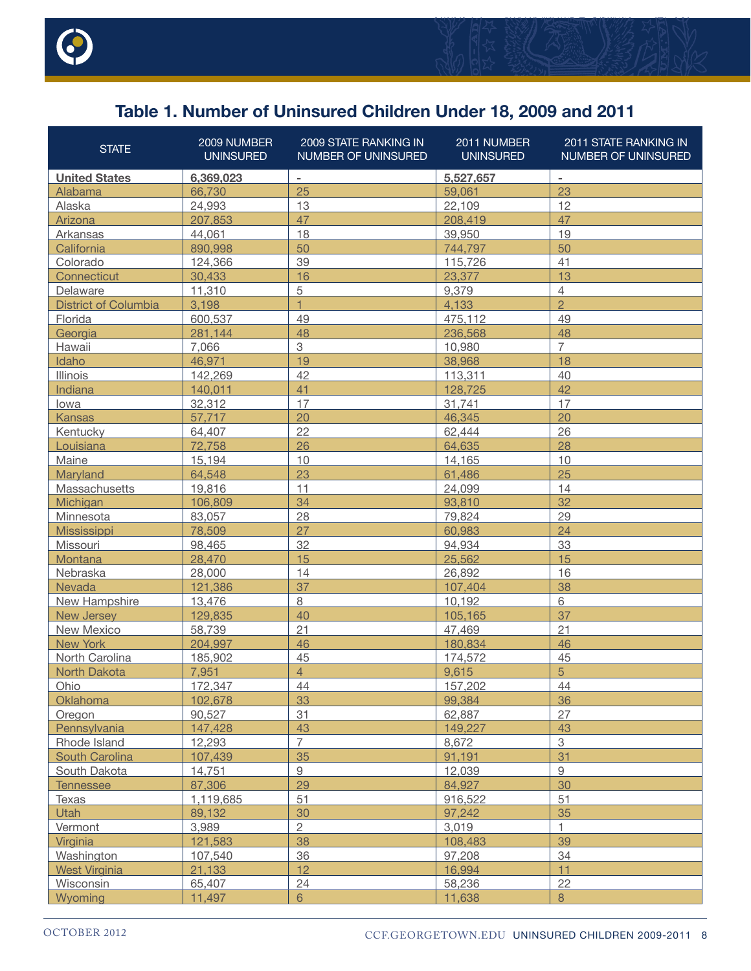

# **Table 1. Number of Uninsured Children Under 18, 2009 and 2011**

| <b>United States</b><br>6,369,023<br>5,527,657<br>$\overline{\phantom{a}}$<br>$\qquad \qquad \blacksquare$<br>25<br>23<br>66,730<br>Alabama<br>59,061<br>12<br>13<br>22,109<br>Alaska<br>24,993<br>47<br>47<br>207,853<br>208,419<br>Arizona<br>19<br>18<br>39,950<br>Arkansas<br>44,061<br>50<br>50<br>California<br>890.998<br>744,797<br>39<br>41<br>Colorado<br>124,366<br>115,726<br>30,433<br>16<br>23,377<br>13<br>Connecticut<br>5<br>4<br>Delaware<br>11,310<br>9,379<br>$\overline{2}$<br>$\overline{1}$<br><b>District of Columbia</b><br>4,133<br>3,198<br>49<br>Florida<br>49<br>475,112<br>600,537<br>Georgia<br>48<br>48<br>281.144<br>236,568<br>$\overline{7}$<br>3<br>Hawaii<br>7,066<br>10,980<br>19<br>18<br>Idaho<br>46,971<br>38,968<br>42<br>40<br>142,269<br>113,311<br>Illinois<br>42<br>Indiana<br>140,011<br>41<br>128,725<br>17<br>17<br>32,312<br>31,741<br>lowa<br>20<br>20<br><b>Kansas</b><br>57.717<br>46.345<br>22<br>26<br>Kentucky<br>64,407<br>62,444<br>28<br>72,758<br>26<br>64,635<br>Louisiana<br>15,194<br>10<br>10<br>Maine<br>14,165<br>23<br>25<br>Maryland<br>64,548<br>61,486<br>19,816<br>11<br>14<br>Massachusetts<br>24,099<br>34<br>32<br>Michigan<br>106,809<br>93,810<br>28<br>29<br>79,824<br>Minnesota<br>83,057<br>27<br>24<br>78,509<br>60,983<br><b>Mississippi</b><br>32<br>33<br>Missouri<br>98,465<br>94,934<br>15<br>15<br>25,562<br>Montana<br>28,470<br>14<br>16<br>Nebraska<br>26,892<br>28,000<br>37<br>38<br>Nevada<br>107,404<br>121,386<br>8<br>6<br>New Hampshire<br>13,476<br>10,192<br>37<br>129,835<br>40<br><b>New Jersey</b><br>105,165<br>21<br>21<br>New Mexico<br>58,739<br>47,469<br>46<br>46<br>New York<br>204,997<br>180,834<br>45<br>45<br>North Carolina<br>185,902<br>174,572<br>5<br>$\overline{4}$<br>North Dakota<br>7,951<br>9,615<br>Ohio<br>172,347<br>44<br>44<br>157,202<br>33<br>36<br>Oklahoma<br>102,678<br>99,384<br>31<br>27<br>90,527<br>62,887<br>Oregon<br>147,428<br>43<br>149,227<br>43<br>Pennsylvania<br>$\overline{7}$<br>$\overline{3}$<br>12,293<br>8,672<br>Rhode Island<br>31<br>35<br>107,439<br>91,191<br>South Carolina<br>9<br>9<br>South Dakota<br>14,751<br>12,039<br>29<br>30<br>87,306<br>84.927<br><b>Tennessee</b><br>51<br>51<br>1,119,685<br>916,522<br>Texas<br>35<br>30<br><b>Utah</b><br>89,132<br>97,242<br>$\overline{2}$<br>3,989<br>3,019<br>Vermont<br>1<br>38<br>39<br>121,583<br>Virginia<br>108,483<br>36<br>34<br>Washington<br>107,540<br>97,208<br>12<br>11<br>21,133<br>16,994<br><b>West Virginia</b><br>22<br>24<br>Wisconsin<br>65,407<br>58,236<br>8<br>Wyoming<br>11,497<br>6<br>11,638 | <b>STATE</b> | 2009 NUMBER<br><b>UNINSURED</b> | 2009 STATE RANKING IN<br>NUMBER OF UNINSURED | 2011 NUMBER<br><b>UNINSURED</b> | <b>2011 STATE RANKING IN</b><br>NUMBER OF UNINSURED |
|---------------------------------------------------------------------------------------------------------------------------------------------------------------------------------------------------------------------------------------------------------------------------------------------------------------------------------------------------------------------------------------------------------------------------------------------------------------------------------------------------------------------------------------------------------------------------------------------------------------------------------------------------------------------------------------------------------------------------------------------------------------------------------------------------------------------------------------------------------------------------------------------------------------------------------------------------------------------------------------------------------------------------------------------------------------------------------------------------------------------------------------------------------------------------------------------------------------------------------------------------------------------------------------------------------------------------------------------------------------------------------------------------------------------------------------------------------------------------------------------------------------------------------------------------------------------------------------------------------------------------------------------------------------------------------------------------------------------------------------------------------------------------------------------------------------------------------------------------------------------------------------------------------------------------------------------------------------------------------------------------------------------------------------------------------------------------------------------------------------------------------------------------------------------------------------------------------------------------------------------------------------------------------------------------------------------------------------------------------------------------------------------------------------------------------------------------------------------------------------------------------------------------------------------------------------------------------------------------------------------------------------|--------------|---------------------------------|----------------------------------------------|---------------------------------|-----------------------------------------------------|
|                                                                                                                                                                                                                                                                                                                                                                                                                                                                                                                                                                                                                                                                                                                                                                                                                                                                                                                                                                                                                                                                                                                                                                                                                                                                                                                                                                                                                                                                                                                                                                                                                                                                                                                                                                                                                                                                                                                                                                                                                                                                                                                                                                                                                                                                                                                                                                                                                                                                                                                                                                                                                                       |              |                                 |                                              |                                 |                                                     |
|                                                                                                                                                                                                                                                                                                                                                                                                                                                                                                                                                                                                                                                                                                                                                                                                                                                                                                                                                                                                                                                                                                                                                                                                                                                                                                                                                                                                                                                                                                                                                                                                                                                                                                                                                                                                                                                                                                                                                                                                                                                                                                                                                                                                                                                                                                                                                                                                                                                                                                                                                                                                                                       |              |                                 |                                              |                                 |                                                     |
|                                                                                                                                                                                                                                                                                                                                                                                                                                                                                                                                                                                                                                                                                                                                                                                                                                                                                                                                                                                                                                                                                                                                                                                                                                                                                                                                                                                                                                                                                                                                                                                                                                                                                                                                                                                                                                                                                                                                                                                                                                                                                                                                                                                                                                                                                                                                                                                                                                                                                                                                                                                                                                       |              |                                 |                                              |                                 |                                                     |
|                                                                                                                                                                                                                                                                                                                                                                                                                                                                                                                                                                                                                                                                                                                                                                                                                                                                                                                                                                                                                                                                                                                                                                                                                                                                                                                                                                                                                                                                                                                                                                                                                                                                                                                                                                                                                                                                                                                                                                                                                                                                                                                                                                                                                                                                                                                                                                                                                                                                                                                                                                                                                                       |              |                                 |                                              |                                 |                                                     |
|                                                                                                                                                                                                                                                                                                                                                                                                                                                                                                                                                                                                                                                                                                                                                                                                                                                                                                                                                                                                                                                                                                                                                                                                                                                                                                                                                                                                                                                                                                                                                                                                                                                                                                                                                                                                                                                                                                                                                                                                                                                                                                                                                                                                                                                                                                                                                                                                                                                                                                                                                                                                                                       |              |                                 |                                              |                                 |                                                     |
|                                                                                                                                                                                                                                                                                                                                                                                                                                                                                                                                                                                                                                                                                                                                                                                                                                                                                                                                                                                                                                                                                                                                                                                                                                                                                                                                                                                                                                                                                                                                                                                                                                                                                                                                                                                                                                                                                                                                                                                                                                                                                                                                                                                                                                                                                                                                                                                                                                                                                                                                                                                                                                       |              |                                 |                                              |                                 |                                                     |
|                                                                                                                                                                                                                                                                                                                                                                                                                                                                                                                                                                                                                                                                                                                                                                                                                                                                                                                                                                                                                                                                                                                                                                                                                                                                                                                                                                                                                                                                                                                                                                                                                                                                                                                                                                                                                                                                                                                                                                                                                                                                                                                                                                                                                                                                                                                                                                                                                                                                                                                                                                                                                                       |              |                                 |                                              |                                 |                                                     |
|                                                                                                                                                                                                                                                                                                                                                                                                                                                                                                                                                                                                                                                                                                                                                                                                                                                                                                                                                                                                                                                                                                                                                                                                                                                                                                                                                                                                                                                                                                                                                                                                                                                                                                                                                                                                                                                                                                                                                                                                                                                                                                                                                                                                                                                                                                                                                                                                                                                                                                                                                                                                                                       |              |                                 |                                              |                                 |                                                     |
|                                                                                                                                                                                                                                                                                                                                                                                                                                                                                                                                                                                                                                                                                                                                                                                                                                                                                                                                                                                                                                                                                                                                                                                                                                                                                                                                                                                                                                                                                                                                                                                                                                                                                                                                                                                                                                                                                                                                                                                                                                                                                                                                                                                                                                                                                                                                                                                                                                                                                                                                                                                                                                       |              |                                 |                                              |                                 |                                                     |
|                                                                                                                                                                                                                                                                                                                                                                                                                                                                                                                                                                                                                                                                                                                                                                                                                                                                                                                                                                                                                                                                                                                                                                                                                                                                                                                                                                                                                                                                                                                                                                                                                                                                                                                                                                                                                                                                                                                                                                                                                                                                                                                                                                                                                                                                                                                                                                                                                                                                                                                                                                                                                                       |              |                                 |                                              |                                 |                                                     |
|                                                                                                                                                                                                                                                                                                                                                                                                                                                                                                                                                                                                                                                                                                                                                                                                                                                                                                                                                                                                                                                                                                                                                                                                                                                                                                                                                                                                                                                                                                                                                                                                                                                                                                                                                                                                                                                                                                                                                                                                                                                                                                                                                                                                                                                                                                                                                                                                                                                                                                                                                                                                                                       |              |                                 |                                              |                                 |                                                     |
|                                                                                                                                                                                                                                                                                                                                                                                                                                                                                                                                                                                                                                                                                                                                                                                                                                                                                                                                                                                                                                                                                                                                                                                                                                                                                                                                                                                                                                                                                                                                                                                                                                                                                                                                                                                                                                                                                                                                                                                                                                                                                                                                                                                                                                                                                                                                                                                                                                                                                                                                                                                                                                       |              |                                 |                                              |                                 |                                                     |
|                                                                                                                                                                                                                                                                                                                                                                                                                                                                                                                                                                                                                                                                                                                                                                                                                                                                                                                                                                                                                                                                                                                                                                                                                                                                                                                                                                                                                                                                                                                                                                                                                                                                                                                                                                                                                                                                                                                                                                                                                                                                                                                                                                                                                                                                                                                                                                                                                                                                                                                                                                                                                                       |              |                                 |                                              |                                 |                                                     |
|                                                                                                                                                                                                                                                                                                                                                                                                                                                                                                                                                                                                                                                                                                                                                                                                                                                                                                                                                                                                                                                                                                                                                                                                                                                                                                                                                                                                                                                                                                                                                                                                                                                                                                                                                                                                                                                                                                                                                                                                                                                                                                                                                                                                                                                                                                                                                                                                                                                                                                                                                                                                                                       |              |                                 |                                              |                                 |                                                     |
|                                                                                                                                                                                                                                                                                                                                                                                                                                                                                                                                                                                                                                                                                                                                                                                                                                                                                                                                                                                                                                                                                                                                                                                                                                                                                                                                                                                                                                                                                                                                                                                                                                                                                                                                                                                                                                                                                                                                                                                                                                                                                                                                                                                                                                                                                                                                                                                                                                                                                                                                                                                                                                       |              |                                 |                                              |                                 |                                                     |
|                                                                                                                                                                                                                                                                                                                                                                                                                                                                                                                                                                                                                                                                                                                                                                                                                                                                                                                                                                                                                                                                                                                                                                                                                                                                                                                                                                                                                                                                                                                                                                                                                                                                                                                                                                                                                                                                                                                                                                                                                                                                                                                                                                                                                                                                                                                                                                                                                                                                                                                                                                                                                                       |              |                                 |                                              |                                 |                                                     |
|                                                                                                                                                                                                                                                                                                                                                                                                                                                                                                                                                                                                                                                                                                                                                                                                                                                                                                                                                                                                                                                                                                                                                                                                                                                                                                                                                                                                                                                                                                                                                                                                                                                                                                                                                                                                                                                                                                                                                                                                                                                                                                                                                                                                                                                                                                                                                                                                                                                                                                                                                                                                                                       |              |                                 |                                              |                                 |                                                     |
|                                                                                                                                                                                                                                                                                                                                                                                                                                                                                                                                                                                                                                                                                                                                                                                                                                                                                                                                                                                                                                                                                                                                                                                                                                                                                                                                                                                                                                                                                                                                                                                                                                                                                                                                                                                                                                                                                                                                                                                                                                                                                                                                                                                                                                                                                                                                                                                                                                                                                                                                                                                                                                       |              |                                 |                                              |                                 |                                                     |
|                                                                                                                                                                                                                                                                                                                                                                                                                                                                                                                                                                                                                                                                                                                                                                                                                                                                                                                                                                                                                                                                                                                                                                                                                                                                                                                                                                                                                                                                                                                                                                                                                                                                                                                                                                                                                                                                                                                                                                                                                                                                                                                                                                                                                                                                                                                                                                                                                                                                                                                                                                                                                                       |              |                                 |                                              |                                 |                                                     |
|                                                                                                                                                                                                                                                                                                                                                                                                                                                                                                                                                                                                                                                                                                                                                                                                                                                                                                                                                                                                                                                                                                                                                                                                                                                                                                                                                                                                                                                                                                                                                                                                                                                                                                                                                                                                                                                                                                                                                                                                                                                                                                                                                                                                                                                                                                                                                                                                                                                                                                                                                                                                                                       |              |                                 |                                              |                                 |                                                     |
|                                                                                                                                                                                                                                                                                                                                                                                                                                                                                                                                                                                                                                                                                                                                                                                                                                                                                                                                                                                                                                                                                                                                                                                                                                                                                                                                                                                                                                                                                                                                                                                                                                                                                                                                                                                                                                                                                                                                                                                                                                                                                                                                                                                                                                                                                                                                                                                                                                                                                                                                                                                                                                       |              |                                 |                                              |                                 |                                                     |
|                                                                                                                                                                                                                                                                                                                                                                                                                                                                                                                                                                                                                                                                                                                                                                                                                                                                                                                                                                                                                                                                                                                                                                                                                                                                                                                                                                                                                                                                                                                                                                                                                                                                                                                                                                                                                                                                                                                                                                                                                                                                                                                                                                                                                                                                                                                                                                                                                                                                                                                                                                                                                                       |              |                                 |                                              |                                 |                                                     |
|                                                                                                                                                                                                                                                                                                                                                                                                                                                                                                                                                                                                                                                                                                                                                                                                                                                                                                                                                                                                                                                                                                                                                                                                                                                                                                                                                                                                                                                                                                                                                                                                                                                                                                                                                                                                                                                                                                                                                                                                                                                                                                                                                                                                                                                                                                                                                                                                                                                                                                                                                                                                                                       |              |                                 |                                              |                                 |                                                     |
|                                                                                                                                                                                                                                                                                                                                                                                                                                                                                                                                                                                                                                                                                                                                                                                                                                                                                                                                                                                                                                                                                                                                                                                                                                                                                                                                                                                                                                                                                                                                                                                                                                                                                                                                                                                                                                                                                                                                                                                                                                                                                                                                                                                                                                                                                                                                                                                                                                                                                                                                                                                                                                       |              |                                 |                                              |                                 |                                                     |
|                                                                                                                                                                                                                                                                                                                                                                                                                                                                                                                                                                                                                                                                                                                                                                                                                                                                                                                                                                                                                                                                                                                                                                                                                                                                                                                                                                                                                                                                                                                                                                                                                                                                                                                                                                                                                                                                                                                                                                                                                                                                                                                                                                                                                                                                                                                                                                                                                                                                                                                                                                                                                                       |              |                                 |                                              |                                 |                                                     |
|                                                                                                                                                                                                                                                                                                                                                                                                                                                                                                                                                                                                                                                                                                                                                                                                                                                                                                                                                                                                                                                                                                                                                                                                                                                                                                                                                                                                                                                                                                                                                                                                                                                                                                                                                                                                                                                                                                                                                                                                                                                                                                                                                                                                                                                                                                                                                                                                                                                                                                                                                                                                                                       |              |                                 |                                              |                                 |                                                     |
|                                                                                                                                                                                                                                                                                                                                                                                                                                                                                                                                                                                                                                                                                                                                                                                                                                                                                                                                                                                                                                                                                                                                                                                                                                                                                                                                                                                                                                                                                                                                                                                                                                                                                                                                                                                                                                                                                                                                                                                                                                                                                                                                                                                                                                                                                                                                                                                                                                                                                                                                                                                                                                       |              |                                 |                                              |                                 |                                                     |
|                                                                                                                                                                                                                                                                                                                                                                                                                                                                                                                                                                                                                                                                                                                                                                                                                                                                                                                                                                                                                                                                                                                                                                                                                                                                                                                                                                                                                                                                                                                                                                                                                                                                                                                                                                                                                                                                                                                                                                                                                                                                                                                                                                                                                                                                                                                                                                                                                                                                                                                                                                                                                                       |              |                                 |                                              |                                 |                                                     |
|                                                                                                                                                                                                                                                                                                                                                                                                                                                                                                                                                                                                                                                                                                                                                                                                                                                                                                                                                                                                                                                                                                                                                                                                                                                                                                                                                                                                                                                                                                                                                                                                                                                                                                                                                                                                                                                                                                                                                                                                                                                                                                                                                                                                                                                                                                                                                                                                                                                                                                                                                                                                                                       |              |                                 |                                              |                                 |                                                     |
|                                                                                                                                                                                                                                                                                                                                                                                                                                                                                                                                                                                                                                                                                                                                                                                                                                                                                                                                                                                                                                                                                                                                                                                                                                                                                                                                                                                                                                                                                                                                                                                                                                                                                                                                                                                                                                                                                                                                                                                                                                                                                                                                                                                                                                                                                                                                                                                                                                                                                                                                                                                                                                       |              |                                 |                                              |                                 |                                                     |
|                                                                                                                                                                                                                                                                                                                                                                                                                                                                                                                                                                                                                                                                                                                                                                                                                                                                                                                                                                                                                                                                                                                                                                                                                                                                                                                                                                                                                                                                                                                                                                                                                                                                                                                                                                                                                                                                                                                                                                                                                                                                                                                                                                                                                                                                                                                                                                                                                                                                                                                                                                                                                                       |              |                                 |                                              |                                 |                                                     |
|                                                                                                                                                                                                                                                                                                                                                                                                                                                                                                                                                                                                                                                                                                                                                                                                                                                                                                                                                                                                                                                                                                                                                                                                                                                                                                                                                                                                                                                                                                                                                                                                                                                                                                                                                                                                                                                                                                                                                                                                                                                                                                                                                                                                                                                                                                                                                                                                                                                                                                                                                                                                                                       |              |                                 |                                              |                                 |                                                     |
|                                                                                                                                                                                                                                                                                                                                                                                                                                                                                                                                                                                                                                                                                                                                                                                                                                                                                                                                                                                                                                                                                                                                                                                                                                                                                                                                                                                                                                                                                                                                                                                                                                                                                                                                                                                                                                                                                                                                                                                                                                                                                                                                                                                                                                                                                                                                                                                                                                                                                                                                                                                                                                       |              |                                 |                                              |                                 |                                                     |
|                                                                                                                                                                                                                                                                                                                                                                                                                                                                                                                                                                                                                                                                                                                                                                                                                                                                                                                                                                                                                                                                                                                                                                                                                                                                                                                                                                                                                                                                                                                                                                                                                                                                                                                                                                                                                                                                                                                                                                                                                                                                                                                                                                                                                                                                                                                                                                                                                                                                                                                                                                                                                                       |              |                                 |                                              |                                 |                                                     |
|                                                                                                                                                                                                                                                                                                                                                                                                                                                                                                                                                                                                                                                                                                                                                                                                                                                                                                                                                                                                                                                                                                                                                                                                                                                                                                                                                                                                                                                                                                                                                                                                                                                                                                                                                                                                                                                                                                                                                                                                                                                                                                                                                                                                                                                                                                                                                                                                                                                                                                                                                                                                                                       |              |                                 |                                              |                                 |                                                     |
|                                                                                                                                                                                                                                                                                                                                                                                                                                                                                                                                                                                                                                                                                                                                                                                                                                                                                                                                                                                                                                                                                                                                                                                                                                                                                                                                                                                                                                                                                                                                                                                                                                                                                                                                                                                                                                                                                                                                                                                                                                                                                                                                                                                                                                                                                                                                                                                                                                                                                                                                                                                                                                       |              |                                 |                                              |                                 |                                                     |
|                                                                                                                                                                                                                                                                                                                                                                                                                                                                                                                                                                                                                                                                                                                                                                                                                                                                                                                                                                                                                                                                                                                                                                                                                                                                                                                                                                                                                                                                                                                                                                                                                                                                                                                                                                                                                                                                                                                                                                                                                                                                                                                                                                                                                                                                                                                                                                                                                                                                                                                                                                                                                                       |              |                                 |                                              |                                 |                                                     |
|                                                                                                                                                                                                                                                                                                                                                                                                                                                                                                                                                                                                                                                                                                                                                                                                                                                                                                                                                                                                                                                                                                                                                                                                                                                                                                                                                                                                                                                                                                                                                                                                                                                                                                                                                                                                                                                                                                                                                                                                                                                                                                                                                                                                                                                                                                                                                                                                                                                                                                                                                                                                                                       |              |                                 |                                              |                                 |                                                     |
|                                                                                                                                                                                                                                                                                                                                                                                                                                                                                                                                                                                                                                                                                                                                                                                                                                                                                                                                                                                                                                                                                                                                                                                                                                                                                                                                                                                                                                                                                                                                                                                                                                                                                                                                                                                                                                                                                                                                                                                                                                                                                                                                                                                                                                                                                                                                                                                                                                                                                                                                                                                                                                       |              |                                 |                                              |                                 |                                                     |
|                                                                                                                                                                                                                                                                                                                                                                                                                                                                                                                                                                                                                                                                                                                                                                                                                                                                                                                                                                                                                                                                                                                                                                                                                                                                                                                                                                                                                                                                                                                                                                                                                                                                                                                                                                                                                                                                                                                                                                                                                                                                                                                                                                                                                                                                                                                                                                                                                                                                                                                                                                                                                                       |              |                                 |                                              |                                 |                                                     |
|                                                                                                                                                                                                                                                                                                                                                                                                                                                                                                                                                                                                                                                                                                                                                                                                                                                                                                                                                                                                                                                                                                                                                                                                                                                                                                                                                                                                                                                                                                                                                                                                                                                                                                                                                                                                                                                                                                                                                                                                                                                                                                                                                                                                                                                                                                                                                                                                                                                                                                                                                                                                                                       |              |                                 |                                              |                                 |                                                     |
|                                                                                                                                                                                                                                                                                                                                                                                                                                                                                                                                                                                                                                                                                                                                                                                                                                                                                                                                                                                                                                                                                                                                                                                                                                                                                                                                                                                                                                                                                                                                                                                                                                                                                                                                                                                                                                                                                                                                                                                                                                                                                                                                                                                                                                                                                                                                                                                                                                                                                                                                                                                                                                       |              |                                 |                                              |                                 |                                                     |
|                                                                                                                                                                                                                                                                                                                                                                                                                                                                                                                                                                                                                                                                                                                                                                                                                                                                                                                                                                                                                                                                                                                                                                                                                                                                                                                                                                                                                                                                                                                                                                                                                                                                                                                                                                                                                                                                                                                                                                                                                                                                                                                                                                                                                                                                                                                                                                                                                                                                                                                                                                                                                                       |              |                                 |                                              |                                 |                                                     |
|                                                                                                                                                                                                                                                                                                                                                                                                                                                                                                                                                                                                                                                                                                                                                                                                                                                                                                                                                                                                                                                                                                                                                                                                                                                                                                                                                                                                                                                                                                                                                                                                                                                                                                                                                                                                                                                                                                                                                                                                                                                                                                                                                                                                                                                                                                                                                                                                                                                                                                                                                                                                                                       |              |                                 |                                              |                                 |                                                     |
|                                                                                                                                                                                                                                                                                                                                                                                                                                                                                                                                                                                                                                                                                                                                                                                                                                                                                                                                                                                                                                                                                                                                                                                                                                                                                                                                                                                                                                                                                                                                                                                                                                                                                                                                                                                                                                                                                                                                                                                                                                                                                                                                                                                                                                                                                                                                                                                                                                                                                                                                                                                                                                       |              |                                 |                                              |                                 |                                                     |
|                                                                                                                                                                                                                                                                                                                                                                                                                                                                                                                                                                                                                                                                                                                                                                                                                                                                                                                                                                                                                                                                                                                                                                                                                                                                                                                                                                                                                                                                                                                                                                                                                                                                                                                                                                                                                                                                                                                                                                                                                                                                                                                                                                                                                                                                                                                                                                                                                                                                                                                                                                                                                                       |              |                                 |                                              |                                 |                                                     |
|                                                                                                                                                                                                                                                                                                                                                                                                                                                                                                                                                                                                                                                                                                                                                                                                                                                                                                                                                                                                                                                                                                                                                                                                                                                                                                                                                                                                                                                                                                                                                                                                                                                                                                                                                                                                                                                                                                                                                                                                                                                                                                                                                                                                                                                                                                                                                                                                                                                                                                                                                                                                                                       |              |                                 |                                              |                                 |                                                     |
|                                                                                                                                                                                                                                                                                                                                                                                                                                                                                                                                                                                                                                                                                                                                                                                                                                                                                                                                                                                                                                                                                                                                                                                                                                                                                                                                                                                                                                                                                                                                                                                                                                                                                                                                                                                                                                                                                                                                                                                                                                                                                                                                                                                                                                                                                                                                                                                                                                                                                                                                                                                                                                       |              |                                 |                                              |                                 |                                                     |
|                                                                                                                                                                                                                                                                                                                                                                                                                                                                                                                                                                                                                                                                                                                                                                                                                                                                                                                                                                                                                                                                                                                                                                                                                                                                                                                                                                                                                                                                                                                                                                                                                                                                                                                                                                                                                                                                                                                                                                                                                                                                                                                                                                                                                                                                                                                                                                                                                                                                                                                                                                                                                                       |              |                                 |                                              |                                 |                                                     |
|                                                                                                                                                                                                                                                                                                                                                                                                                                                                                                                                                                                                                                                                                                                                                                                                                                                                                                                                                                                                                                                                                                                                                                                                                                                                                                                                                                                                                                                                                                                                                                                                                                                                                                                                                                                                                                                                                                                                                                                                                                                                                                                                                                                                                                                                                                                                                                                                                                                                                                                                                                                                                                       |              |                                 |                                              |                                 |                                                     |
|                                                                                                                                                                                                                                                                                                                                                                                                                                                                                                                                                                                                                                                                                                                                                                                                                                                                                                                                                                                                                                                                                                                                                                                                                                                                                                                                                                                                                                                                                                                                                                                                                                                                                                                                                                                                                                                                                                                                                                                                                                                                                                                                                                                                                                                                                                                                                                                                                                                                                                                                                                                                                                       |              |                                 |                                              |                                 |                                                     |
|                                                                                                                                                                                                                                                                                                                                                                                                                                                                                                                                                                                                                                                                                                                                                                                                                                                                                                                                                                                                                                                                                                                                                                                                                                                                                                                                                                                                                                                                                                                                                                                                                                                                                                                                                                                                                                                                                                                                                                                                                                                                                                                                                                                                                                                                                                                                                                                                                                                                                                                                                                                                                                       |              |                                 |                                              |                                 |                                                     |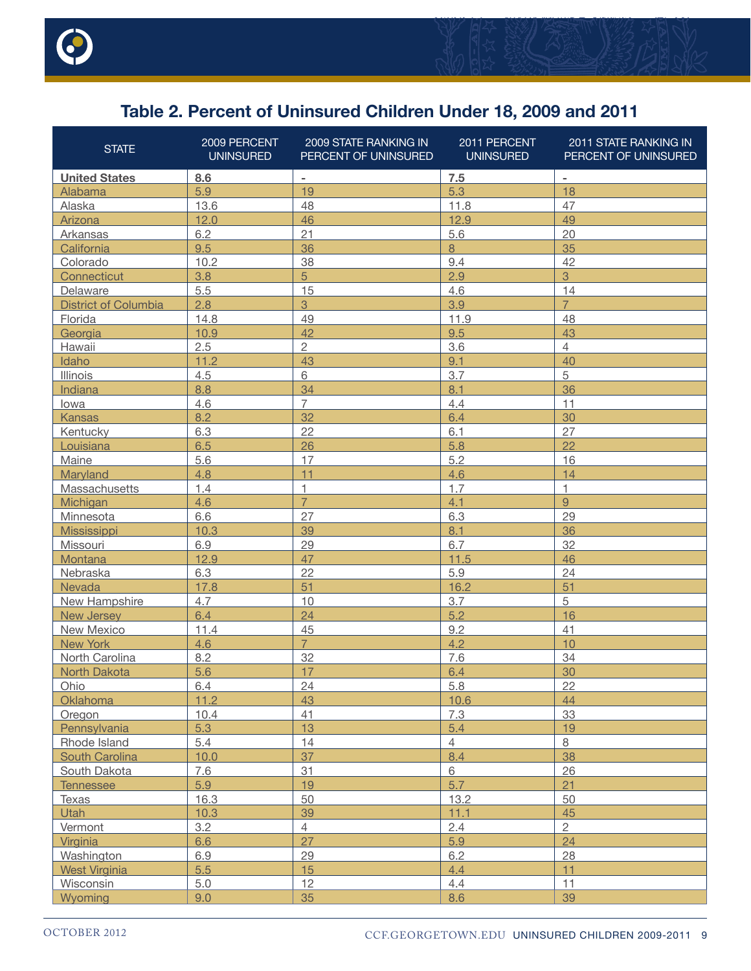



# **Table 2. Percent of Uninsured Children Under 18, 2009 and 2011**

| <b>STATE</b>                | 2009 PERCENT<br><b>UNINSURED</b> | 2009 STATE RANKING IN<br>PERCENT OF UNINSURED | 2011 PERCENT<br><b>UNINSURED</b> | 2011 STATE RANKING IN<br>PERCENT OF UNINSURED |
|-----------------------------|----------------------------------|-----------------------------------------------|----------------------------------|-----------------------------------------------|
| <b>United States</b>        | 8.6                              | $\sim$                                        | 7.5                              | $\overline{\phantom{a}}$                      |
| Alabama                     | 5.9                              | 19                                            | 5.3                              | 18                                            |
| Alaska                      | 13.6                             | 48                                            | 11.8                             | 47                                            |
| Arizona                     | 12.0                             | 46                                            | 12.9                             | 49                                            |
| Arkansas                    | 6.2                              | 21                                            | 5.6                              | 20                                            |
| California                  | 9.5                              | 36                                            | $\,8\,$                          | 35                                            |
| Colorado                    | 10.2                             | 38                                            | 9.4                              | 42                                            |
| Connecticut                 | 3.8                              | 5                                             | 2.9                              | 3                                             |
| Delaware                    | 5.5                              | 15                                            | 4.6                              | 14                                            |
| <b>District of Columbia</b> | 2.8                              | $\mathbf{3}$                                  | 3.9                              | $\overline{7}$                                |
| Florida                     | 14.8                             | 49                                            | 11.9                             | 48                                            |
| Georgia                     | 10.9                             | 42                                            | 9.5                              | 43                                            |
| Hawaii                      | 2.5                              | $\overline{c}$                                | 3.6                              | $\overline{4}$                                |
| Idaho                       | 11.2                             | 43                                            | 9.1                              | 40                                            |
| <b>Illinois</b>             | 4.5                              | 6                                             | 3.7                              | 5                                             |
| Indiana                     | 8.8                              | 34                                            | 8.1                              | 36                                            |
| lowa                        | 4.6                              | $\overline{7}$                                | 4.4                              | 11                                            |
| <b>Kansas</b>               | 8.2                              | 32                                            | 6.4                              | 30                                            |
| Kentucky                    | 6.3                              | 22                                            | 6.1                              | 27                                            |
| Louisiana                   | 6.5                              | 26                                            | 5.8                              | 22                                            |
| Maine                       | 5.6                              | 17                                            | 5.2                              | 16                                            |
| Maryland                    | 4.8                              | 11                                            | 4.6                              | 14                                            |
| Massachusetts               | 1.4                              | 1                                             | 1.7                              | 1                                             |
| Michigan                    | 4.6                              | $\overline{7}$                                | 4.1                              | 9                                             |
| Minnesota                   | 6.6                              | 27                                            | 6.3                              | 29                                            |
| <b>Mississippi</b>          | 10.3                             | 39                                            | 8.1                              | 36                                            |
| Missouri                    | 6.9                              | 29                                            | 6.7                              | 32                                            |
| Montana                     | 12.9                             | 47                                            | 11.5                             | 46                                            |
| Nebraska                    | 6.3                              | 22                                            | 5.9                              | 24                                            |
| Nevada                      | 17.8                             | 51                                            | 16.2                             | 51                                            |
| New Hampshire               | 4.7                              | 10                                            | 3.7                              | 5                                             |
| <b>New Jersey</b>           | 6.4                              | 24                                            | 5.2                              | 16                                            |
| New Mexico                  | 11.4                             | 45                                            | 9.2                              | 41                                            |
| <b>New York</b>             | 4.6                              | $\overline{7}$                                | 4.2                              | 10                                            |
| North Carolina              | 8.2                              | 32                                            | 7.6                              | 34                                            |
| <b>North Dakota</b>         | 5.6                              | 17                                            | 6.4                              | 30                                            |
| Ohio                        | 6.4                              | 24                                            | 5.8                              | 22                                            |
| Oklahoma                    | 11.2                             | 43                                            | 10.6                             | 44                                            |
| Oregon                      | 10.4                             | 41                                            | 7.3                              | 33                                            |
| Pennsylvania                | 5.3                              | 13                                            | 5.4                              | 19                                            |
| Rhode Island                | 5.4                              | 14                                            | $\overline{4}$                   | $8\phantom{1}$                                |
| South Carolina              | 10.0                             | 37                                            | 8.4                              | 38                                            |
| South Dakota                | 7.6                              | 31                                            | $6\phantom{a}$                   | 26                                            |
| <b>Tennessee</b>            | 5.9                              | 19                                            | 5.7                              | 21                                            |
| Texas                       | 16.3                             | 50                                            | 13.2                             | 50                                            |
| <b>Utah</b>                 | 10.3                             | 39                                            | 11.1                             | 45                                            |
| Vermont                     | 3.2                              | $\overline{4}$                                | 2.4                              | $\overline{2}$                                |
| Virginia                    | 6.6                              | 27                                            | 5.9                              | 24                                            |
| Washington                  | 6.9                              | 29                                            | 6.2                              | 28                                            |
| <b>West Virginia</b>        | 5.5                              | 15                                            | 4.4                              | 11                                            |
| Wisconsin                   | 5.0                              | 12                                            | 4.4                              | 11                                            |
| Wyoming                     | 9.0                              | 35                                            | 8.6                              | 39                                            |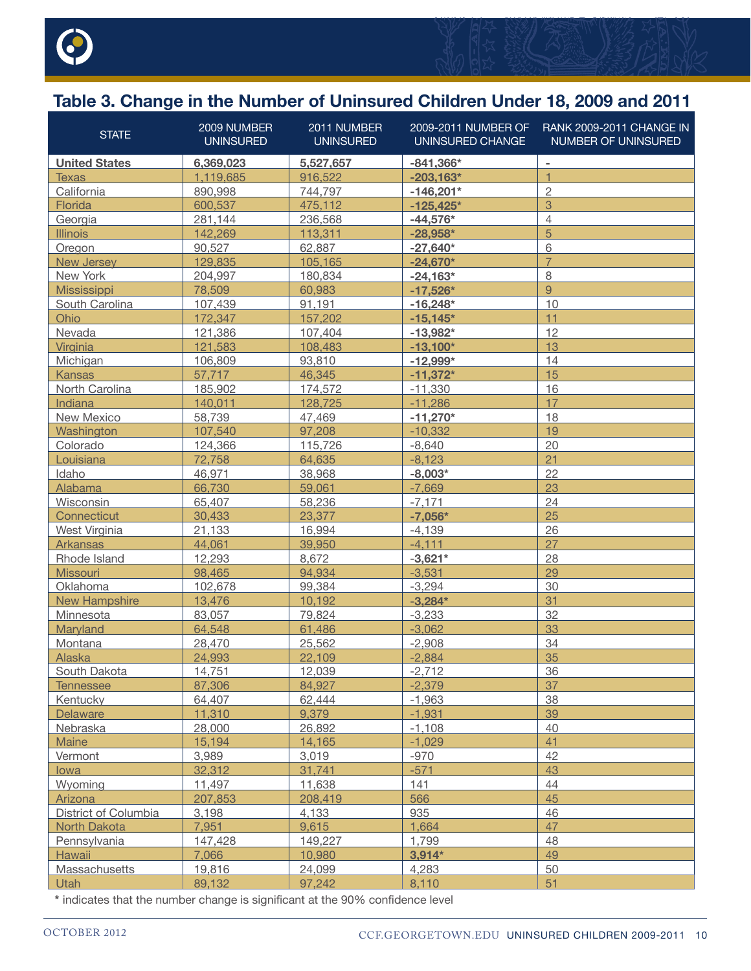

# **Table 3. Change in the Number of Uninsured Children Under 18, 2009 and 2011**

| <b>STATE</b>         | 2009 NUMBER<br><b>UNINSURED</b> | 2011 NUMBER<br><b>UNINSURED</b> | 2009-2011 NUMBER OF<br>UNINSURED CHANGE | RANK 2009-2011 CHANGE IN<br>NUMBER OF UNINSURED |
|----------------------|---------------------------------|---------------------------------|-----------------------------------------|-------------------------------------------------|
| <b>United States</b> | 6,369,023                       | 5,527,657                       | $-841,366*$                             | $\blacksquare$                                  |
| <b>Texas</b>         | 1,119,685                       | 916,522                         | $-203,163*$                             | $\overline{1}$                                  |
| California           | 890,998                         | 744,797                         | $-146,201*$                             | $\overline{c}$                                  |
| Florida              | 600,537                         | 475,112                         | $-125,425*$                             | 3                                               |
| Georgia              | 281,144                         | 236,568                         | $-44,576*$                              | $\overline{4}$                                  |
| <b>Illinois</b>      | 142,269                         | 113,311                         | $-28,958*$                              | 5                                               |
| Oregon               | 90,527                          | 62,887                          | $-27,640*$                              | 6                                               |
| <b>New Jersey</b>    | 129,835                         | 105,165                         | $-24,670*$                              | $\overline{7}$                                  |
| New York             | 204,997                         | 180,834                         | $-24,163*$                              | 8                                               |
| Mississippi          | 78,509                          | 60,983                          | $-17,526*$                              | $\overline{9}$                                  |
| South Carolina       | 107,439                         | 91,191                          | $-16,248*$                              | 10                                              |
| Ohio                 | 172,347                         | 157.202                         | $-15,145*$                              | 11                                              |
| Nevada               | 121,386                         | 107,404                         | $-13,982*$                              | 12                                              |
| Virginia             | 121,583                         | 108,483                         | $-13,100*$                              | 13                                              |
| Michigan             | 106,809                         | 93,810                          | $-12,999*$                              | 14                                              |
| <b>Kansas</b>        | 57,717                          | 46,345                          | $-11,372*$                              | 15                                              |
| North Carolina       | 185,902                         | 174,572                         | $-11,330$                               | 16                                              |
| Indiana              | 140,011                         | 128,725                         | $-11,286$                               | 17                                              |
| New Mexico           | 58,739                          | 47,469                          | $-11,270*$                              | 18                                              |
| Washington           | 107,540                         | 97,208                          | $-10,332$                               | 19                                              |
| Colorado             | 124,366                         | 115,726                         | $-8,640$                                | 20                                              |
| Louisiana            | 72,758                          | 64,635                          | $-8,123$                                | 21                                              |
| Idaho                | 46,971                          | 38,968                          | $-8,003*$                               | 22                                              |
| Alabama              | 66,730                          | 59,061                          | $-7,669$                                | 23                                              |
| Wisconsin            | 65,407                          | 58,236                          | $-7,171$                                | 24                                              |
| Connecticut          | 30,433                          | 23,377                          | $-7,056*$                               | 25                                              |
| West Virginia        | 21,133                          | 16,994                          | $-4,139$                                | 26                                              |
| Arkansas             | 44,061                          | 39,950                          | $-4, 111$                               | 27                                              |
| Rhode Island         | 12,293                          | 8,672                           | $-3,621*$                               | 28                                              |
| Missouri             | 98,465                          | 94,934                          | $-3,531$                                | 29                                              |
| Oklahoma             | 102,678                         | 99,384                          | $-3,294$                                | 30                                              |
| <b>New Hampshire</b> | 13,476                          | 10,192                          | $-3,284*$                               | 31                                              |
| Minnesota            | 83,057                          | 79,824                          | $-3,233$                                | 32                                              |
| Maryland             | 64,548                          | 61,486                          | $-3,062$                                | 33                                              |
| Montana              | 28,470                          | 25,562                          | $-2,908$                                | 34                                              |
| Alaska               | 24,993                          | 22,109                          | $-2,884$                                | 35                                              |
| South Dakota         | 14,751                          | 12,039                          | $-2,712$                                | 36                                              |
| <b>Tennessee</b>     | 87,306                          | 84.927                          | $-2.379$                                | 37                                              |
| Kentucky             | 64,407                          | 62,444                          | $-1,963$                                | 38                                              |
| <b>Delaware</b>      | 11,310                          | 9,379                           | $-1,931$                                | 39                                              |
| Nebraska             | 28,000                          | 26,892                          | $-1,108$                                | 40                                              |
| Maine                | 15,194                          | 14,165                          | $-1,029$                                | 41                                              |
| Vermont              | 3,989                           | 3,019                           | $-970$                                  | 42                                              |
| lowa                 | 32,312                          | 31,741                          | $-571$                                  | 43                                              |
| Wyoming              | 11,497                          | 11,638                          | 141                                     | 44                                              |
| Arizona              | 207,853                         | 208,419                         | 566                                     | 45                                              |
| District of Columbia | 3,198                           | 4,133                           | 935                                     | 46                                              |
| North Dakota         | 7,951                           | 9,615                           | 1,664                                   | 47                                              |
| Pennsylvania         | 147,428                         | 149,227                         | 1,799                                   | 48                                              |
| Hawaii               | 7,066                           | 10,980                          | $3,914*$                                | 49                                              |
| Massachusetts        | 19,816                          | 24,099                          | 4,283                                   | 50                                              |
| <b>Utah</b>          | 89,132                          | 97,242                          | 8,110                                   | 51                                              |

**\*** indicates that the number change is significant at the 90% confidence level